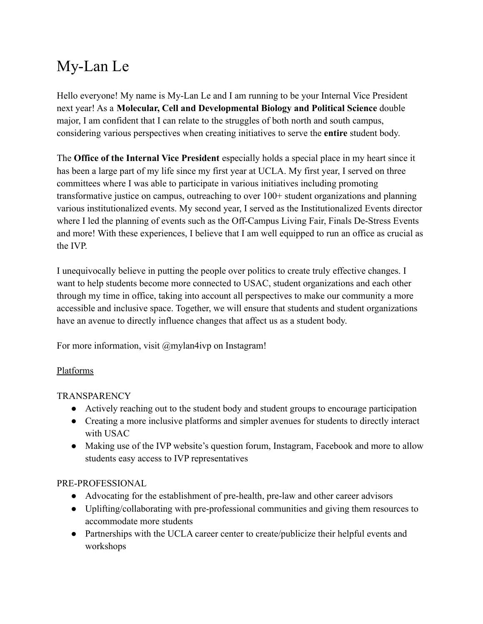# My-Lan Le

Hello everyone! My name is My-Lan Le and I am running to be your Internal Vice President next year! As a **Molecular, Cell and Developmental Biology and Political Science** double major, I am confident that I can relate to the struggles of both north and south campus, considering various perspectives when creating initiatives to serve the **entire** student body.

The **Office of the Internal Vice President** especially holds a special place in my heart since it has been a large part of my life since my first year at UCLA. My first year, I served on three committees where I was able to participate in various initiatives including promoting transformative justice on campus, outreaching to over 100+ student organizations and planning various institutionalized events. My second year, I served as the Institutionalized Events director where I led the planning of events such as the Off-Campus Living Fair, Finals De-Stress Events and more! With these experiences, I believe that I am well equipped to run an office as crucial as the IVP.

I unequivocally believe in putting the people over politics to create truly effective changes. I want to help students become more connected to USAC, student organizations and each other through my time in office, taking into account all perspectives to make our community a more accessible and inclusive space. Together, we will ensure that students and student organizations have an avenue to directly influence changes that affect us as a student body.

For more information, visit @mylan4ivp on Instagram!

### Platforms

# TRANSPARENCY

- Actively reaching out to the student body and student groups to encourage participation
- Creating a more inclusive platforms and simpler avenues for students to directly interact with USAC
- Making use of the IVP website's question forum, Instagram, Facebook and more to allow students easy access to IVP representatives

# PRE-PROFESSIONAL

- Advocating for the establishment of pre-health, pre-law and other career advisors
- Uplifting/collaborating with pre-professional communities and giving them resources to accommodate more students
- Partnerships with the UCLA career center to create/publicize their helpful events and workshops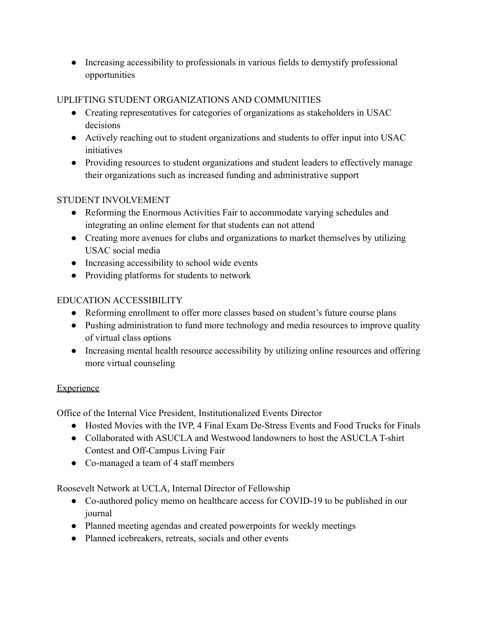● Increasing accessibility to professionals in various fields to demystify professional opportunities

## UPLIFTING STUDENT ORGANIZATIONS AND COMMUNITIES

- Creating representatives for categories of organizations as stakeholders in USAC decisions
- Actively reaching out to student organizations and students to offer input into USAC *initiatives*
- Providing resources to student organizations and student leaders to effectively manage their organizations such as increased funding and administrative support

### STUDENT INVOLVEMENT

- Reforming the Enormous Activities Fair to accommodate varying schedules and integrating an online element for that students can not attend
- Creating more avenues for clubs and organizations to market themselves by utilizing USAC social media
- Increasing accessibility to school wide events
- Providing platforms for students to network

# EDUCATION ACCESSIBILITY

- Reforming enrollment to offer more classes based on student's future course plans
- Pushing administration to fund more technology and media resources to improve quality of virtual class options
- Increasing mental health resource accessibility by utilizing online resources and offering more virtual counseling

# **Experience**

Office of the Internal Vice President, Institutionalized Events Director

- Hosted Movies with the IVP, 4 Final Exam De-Stress Events and Food Trucks for Finals
- Collaborated with ASUCLA and Westwood landowners to host the ASUCLA T-shirt Contest and Off-Campus Living Fair
- Co-managed a team of 4 staff members

Roosevelt Network at UCLA, Internal Director of Fellowship

- Co-authored policy memo on healthcare access for COVID-19 to be published in our journal
- Planned meeting agendas and created powerpoints for weekly meetings
- Planned icebreakers, retreats, socials and other events